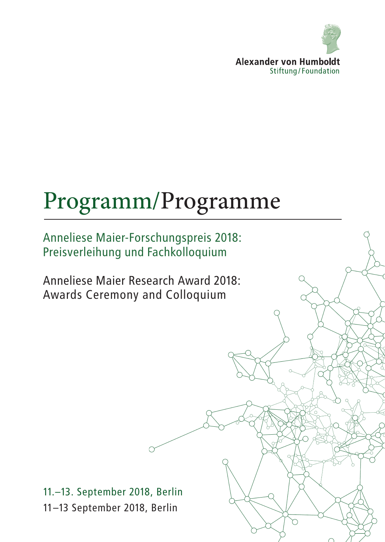

# Programm/Programme

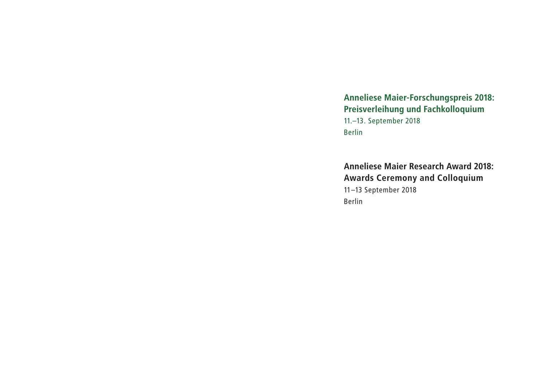## **Anneliese Maier-Forschungspreis 2018: Preisverleihung und Fachkolloquium**

11.–13. September 2018 Berlin

**Anneliese Maier Research Award 2018: Awards Ceremony and Colloquium** 11–13 September 2018 Berlin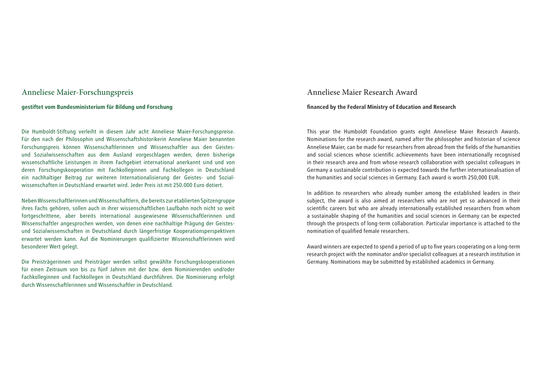### Anneliese Maier-Forschungspreis

### **gestiftet vom Bundesministerium für Bildung und Forschung**

Die Humboldt-Stiftung verleiht in diesem Jahr acht Anneliese Maier-Forschungspreise. Für den nach der Philosophin und Wissenschaftshistorikerin Anneliese Maier benannten Forschungspreis können Wissenschaftlerinnen und Wissenschaftler aus den Geistesund Sozialwissenschaften aus dem Ausland vorgeschlagen werden, deren bisherige wissenschaftliche Leistungen in ihrem Fachgebiet international anerkannt sind und von deren Forschungskooperation mit Fachkolleginnen und Fachkollegen in Deutschland ein nachhaltiger Beitrag zur weiteren Internationalisierung der Geistes- und Sozialwissenschaften in Deutschland erwartet wird. Jeder Preis ist mit 250.000 Euro dotiert.

Neben Wissenschaftlerinnen und Wissenschaftlern, die bereits zur etablierten Spitzengruppe ihres Fachs gehören, sollen auch in ihrer wissenschaftlichen Laufbahn noch nicht so weit fortgeschrittene, aber bereits international ausgewiesene Wissenschaftlerinnen und Wissenschaftler angesprochen werden, von denen eine nachhaltige Prägung der Geistesund Sozialwissenschaften in Deutschland durch längerfristige Kooperationsperspektiven erwartet werden kann. Auf die Nominierungen qualifizierter Wissenschaftlerinnen wird besonderer Wert gelegt.

Die Preisträgerinnen und Preisträger werden selbst gewählte Forschungskooperationen für einen Zeitraum von bis zu fünf Jahren mit der bzw. dem Nominierenden und/oder Fachkolleginnen und Fachkollegen in Deutschland durchführen. Die Nominierung erfolgt durch Wissenschaftlerinnen und Wissenschaftler in Deutschland.

### Anneliese Maier Research Award

### **financed by the Federal Ministry of Education and Research**

This year the Humboldt Foundation grants eight Anneliese Maier Research Awards. Nominations for the research award, named after the philosopher and historian of science Anneliese Maier, can be made for researchers from abroad from the fields of the humanities and social sciences whose scientific achievements have been internationally recognised in their research area and from whose research collaboration with specialist colleagues in Germany a sustainable contribution is expected towards the further internationalisation of the humanities and social sciences in Germany. Each award is worth 250,000 EUR.

In addition to researchers who already number among the established leaders in their subject, the award is also aimed at researchers who are not yet so advanced in their scientific careers but who are already internationally established researchers from whom a sustainable shaping of the humanities and social sciences in Germany can be expected through the prospects of long-term collaboration. Particular importance is attached to the nomination of qualified female researchers.

Award winners are expected to spend a period of up to five years cooperating on a long-term research project with the nominator and/or specialist colleagues at a research institution in Germany. Nominations may be submitted by established academics in Germany.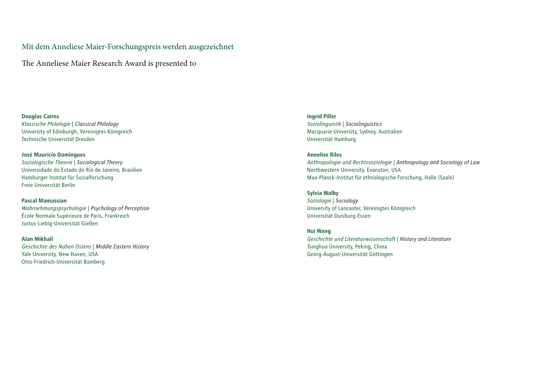Mit dem Anneliese Maier-Forschungspreis werden ausgezeichnet

The Anneliese Maier Research Award is presented to

**Douglas Cairns** *Klassische Philologie* | *Classical Philology* University of Edinburgh, Vereinigtes Königreich Technische Universität Dresden

**José Maurício Domingues** *Soziologische Theorie* | *Sociological Theory* Universidade do Estado do Rio de Janeiro, Brasilien Hamburger Institut für Sozialforschung Freie Universität Berlin

**Pascal Mamassian** *Wahrnehmungspsychologie* | *Psychology of Perception* École Normale Supérieure de Paris, Frankreich Justus-Liebig-Universität Gießen

**Alan Mikhail** *Geschichte des Nahen Ostens* | *Middle Eastern History* Yale University, New Haven, USA Otto-Friedrich-Universität Bamberg

**Ingrid Piller** *Soziolinguistik* | *Sociolinguistics* Macquarie University, Sydney, Australien Universität Hamburg

**Annelise Riles** *Anthropologie und Rechtssoziologie* | *Anthropology and Sociology of Law* Northwestern University, Evanston, USA Max-Planck-Institut für ethnologische Forschung, Halle (Saale)

**Sylvia Walby** *Soziologie* | *Sociology* University of Lancaster, Vereinigtes Königreich Universität Duisburg-Essen

**Hui Wang**  *Geschichte und Literaturwissenschaft* | *History and Literature* Tsinghua University, Peking, China Georg-August-Universität Göttingen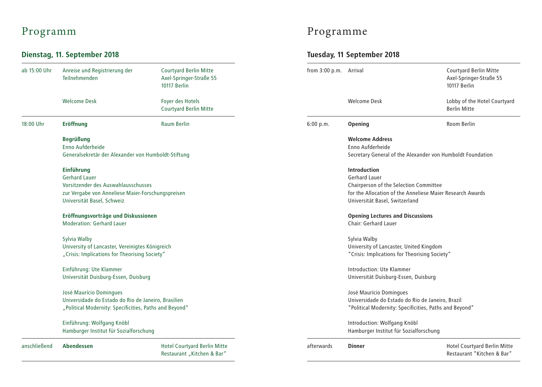## **Dienstag, 11. September 2018 Tuesday, 11 September 2018**

| ab 15:00 Uhr | Anreise und Registrierung der<br>Teilnehmenden                                                                                                                      | <b>Courtyard Berlin Mitte</b><br>Axel-Springer-Straße 55<br>10117 Berlin |  |  |  |  |
|--------------|---------------------------------------------------------------------------------------------------------------------------------------------------------------------|--------------------------------------------------------------------------|--|--|--|--|
|              | <b>Welcome Desk</b>                                                                                                                                                 | Foyer des Hotels<br><b>Courtyard Berlin Mitte</b>                        |  |  |  |  |
| 18:00 Uhr    | <b>Eröffnung</b>                                                                                                                                                    | <b>Raum Berlin</b>                                                       |  |  |  |  |
|              | <b>Begrüßung</b><br>Enno Aufderheide<br>Generalsekretär der Alexander von Humboldt-Stiftung                                                                         |                                                                          |  |  |  |  |
|              | <b>Einführung</b><br><b>Gerhard Lauer</b><br>Vorsitzender des Auswahlausschusses<br>zur Vergabe von Anneliese Maier-Forschungspreisen<br>Universität Basel, Schweiz |                                                                          |  |  |  |  |
|              | Eröffnungsvorträge und Diskussionen<br>Moderation: Gerhard Lauer                                                                                                    |                                                                          |  |  |  |  |
|              | Sylvia Walby<br>University of Lancaster, Vereinigtes Königreich<br>"Crisis: Implications for Theorising Society"                                                    |                                                                          |  |  |  |  |
|              | Einführung: Ute Klammer<br>Universität Duisburg-Essen, Duisburg                                                                                                     |                                                                          |  |  |  |  |
|              | José Maurício Domingues<br>Universidade do Estado do Rio de Janeiro, Brasilien<br>"Political Modernity: Specificities, Paths and Beyond"                            |                                                                          |  |  |  |  |
|              | Einführung: Wolfgang Knöbl<br>Hamburger Institut für Sozialforschung                                                                                                |                                                                          |  |  |  |  |
| anschließend | <b>Abendessen</b>                                                                                                                                                   | <b>Hotel Courtyard Berlin Mitte</b><br>Restaurant "Kitchen & Bar"        |  |  |  |  |

## Programm Programme

| from $3:00$ p.m. | Arrival                                                                                                                                                                       | <b>Courtyard Berlin Mitte</b><br>Axel-Springer-Straße 55<br>10117 Rerlin |  |  |  |
|------------------|-------------------------------------------------------------------------------------------------------------------------------------------------------------------------------|--------------------------------------------------------------------------|--|--|--|
|                  | <b>Welcome Desk</b>                                                                                                                                                           | Lobby of the Hotel Courtyard<br><b>Berlin Mitte</b>                      |  |  |  |
| 6:00 p.m.        | <b>Opening</b>                                                                                                                                                                | Room Berlin                                                              |  |  |  |
|                  | <b>Welcome Address</b><br>Enno Aufderheide<br>Secretary General of the Alexander von Humboldt Foundation                                                                      |                                                                          |  |  |  |
|                  | <b>Introduction</b><br>Gerhard Lauer<br>Chairperson of the Selection Committee<br>for the Allocation of the Anneliese Maier Research Awards<br>Universität Basel, Switzerland |                                                                          |  |  |  |
|                  | <b>Opening Lectures and Discussions</b><br>Chair: Gerhard Lauer                                                                                                               |                                                                          |  |  |  |
|                  | Sylvia Walby<br>University of Lancaster, United Kingdom<br>"Crisis: Implications for Theorising Society"                                                                      |                                                                          |  |  |  |
|                  | Introduction: Ute Klammer<br>Universität Duisburg-Essen, Duisburg                                                                                                             |                                                                          |  |  |  |
|                  | José Maurício Domingues<br>Universidade do Estado do Rio de Janeiro, Brazil<br>"Political Modernity: Specificities, Paths and Beyond"                                         |                                                                          |  |  |  |
|                  | Introduction: Wolfgang Knöbl<br>Hamburger Institut für Sozialforschung                                                                                                        |                                                                          |  |  |  |
| afterwards       | <b>Dinner</b>                                                                                                                                                                 | <b>Hotel Courtyard Berlin Mitte</b><br>Restaurant "Kitchen & Bar"        |  |  |  |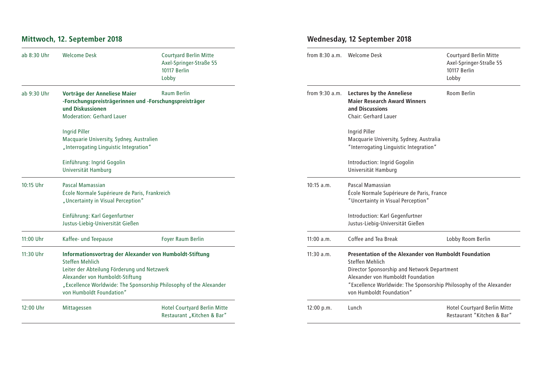## **Mittwoch, 12. September 2018 Wednesday, 12 September 2018**

| ab 8:30 Uhr | <b>Welcome Desk</b>                                                                                                                                                                                                                                                   | <b>Courtyard Berlin Mitte</b><br>Axel-Springer-Straße 55<br>10117 Berlin<br>Lobby |                                                                                                                                                                                                                                                                              | from 8:30 a.m. Welcome Desk                                                                                               | <b>Courtyard Berlin Mitte</b><br>Axel-Springer-Straße 55<br>10117 Berlin<br>Lobby |
|-------------|-----------------------------------------------------------------------------------------------------------------------------------------------------------------------------------------------------------------------------------------------------------------------|-----------------------------------------------------------------------------------|------------------------------------------------------------------------------------------------------------------------------------------------------------------------------------------------------------------------------------------------------------------------------|---------------------------------------------------------------------------------------------------------------------------|-----------------------------------------------------------------------------------|
| ab 9:30 Uhr | Vorträge der Anneliese Maier<br>-Forschungspreisträgerinnen und -Forschungspreisträger<br>und Diskussionen<br><b>Moderation: Gerhard Lauer</b>                                                                                                                        | <b>Raum Berlin</b>                                                                | from 9:30 a.m.                                                                                                                                                                                                                                                               | <b>Lectures by the Anneliese</b><br><b>Maier Research Award Winners</b><br>and Discussions<br><b>Chair: Gerhard Lauer</b> | Room Berlin                                                                       |
|             | <b>Ingrid Piller</b><br>Macquarie University, Sydney, Australien<br>"Interrogating Linguistic Integration"                                                                                                                                                            |                                                                                   |                                                                                                                                                                                                                                                                              | Ingrid Piller<br>Macquarie University, Sydney, Australia<br>"Interrogating Linguistic Integration"                        |                                                                                   |
|             | Einführung: Ingrid Gogolin<br>Universität Hamburg                                                                                                                                                                                                                     |                                                                                   |                                                                                                                                                                                                                                                                              | Introduction: Ingrid Gogolin<br>Universität Hamburg                                                                       |                                                                                   |
| 10:15 Uhr   | <b>Pascal Mamassian</b><br>École Normale Supérieure de Paris, Frankreich<br>"Uncertainty in Visual Perception"                                                                                                                                                        |                                                                                   | $10:15$ a.m.                                                                                                                                                                                                                                                                 | Pascal Mamassian<br>École Normale Supérieure de Paris, France<br>"Uncertainty in Visual Perception"                       |                                                                                   |
|             | Einführung: Karl Gegenfurtner<br>Justus-Liebig-Universität Gießen                                                                                                                                                                                                     |                                                                                   |                                                                                                                                                                                                                                                                              | Introduction: Karl Gegenfurtner<br>Justus-Liebig-Universität Gießen                                                       |                                                                                   |
| 11:00 Uhr   | Kaffee- und Teepause                                                                                                                                                                                                                                                  | Foyer Raum Berlin                                                                 | 11:00 a.m.                                                                                                                                                                                                                                                                   | Coffee and Tea Break                                                                                                      | Lobby Room Berlin                                                                 |
| 11:30 Uhr   | Informationsvortrag der Alexander von Humboldt-Stiftung<br><b>Steffen Mehlich</b><br>Leiter der Abteilung Förderung und Netzwerk<br>Alexander von Humboldt-Stiftung<br>"Excellence Worldwide: The Sponsorship Philosophy of the Alexander<br>von Humboldt Foundation" |                                                                                   | 11:30 a.m.<br>Presentation of the Alexander von Humboldt Foundation<br>Steffen Mehlich<br>Director Sponsorship and Network Department<br>Alexander von Humboldt Foundation<br>"Excellence Worldwide: The Sponsorship Philosophy of the Alexander<br>von Humboldt Foundation" |                                                                                                                           |                                                                                   |
| 12:00 Uhr   | Mittagessen                                                                                                                                                                                                                                                           | <b>Hotel Courtyard Berlin Mitte</b><br>Restaurant "Kitchen & Bar"                 | 12:00 p.m.                                                                                                                                                                                                                                                                   | Lunch                                                                                                                     | <b>Hotel Courtyard Berlin Mitte</b><br>Restaurant "Kitchen & Bar"                 |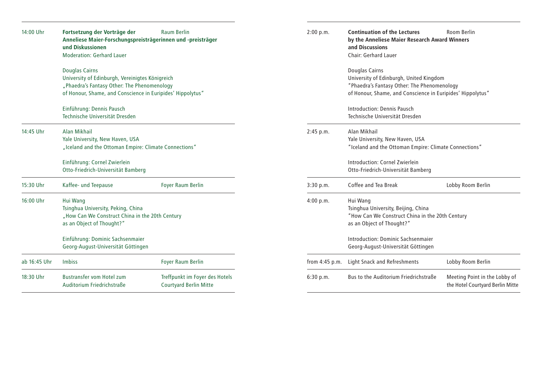| 14:00 Uhr    | Fortsetzung der Vorträge der<br>Anneliese Maier-Forschungspreisträgerinnen und -preisträger<br>und Diskussionen<br><b>Moderation: Gerhard Lauer</b>                                   | <b>Raum Berlin</b>                                              | 2:00 p.m.        | <b>Continuation of the Lectures</b><br>by the Anneliese Maier Research Award Winners<br>and Discussions<br>Chair: Gerhard Lauer                                        | Room Berlin                                                       |
|--------------|---------------------------------------------------------------------------------------------------------------------------------------------------------------------------------------|-----------------------------------------------------------------|------------------|------------------------------------------------------------------------------------------------------------------------------------------------------------------------|-------------------------------------------------------------------|
|              | <b>Douglas Cairns</b><br>University of Edinburgh, Vereinigtes Königreich<br>"Phaedra's Fantasy Other: The Phenomenology<br>of Honour, Shame, and Conscience in Euripides' Hippolytus" |                                                                 |                  | Douglas Cairns<br>University of Edinburgh, United Kingdom<br>"Phaedra's Fantasy Other: The Phenomenology<br>of Honour, Shame, and Conscience in Euripides' Hippolytus" |                                                                   |
|              | Einführung: Dennis Pausch<br>Technische Universität Dresden                                                                                                                           |                                                                 |                  | Introduction: Dennis Pausch<br>Technische Universität Dresden                                                                                                          |                                                                   |
| 14:45 Uhr    | Alan Mikhail<br>Yale University, New Haven, USA<br>"Iceland and the Ottoman Empire: Climate Connections"                                                                              |                                                                 | 2:45 p.m.        | Alan Mikhail<br>Yale University, New Haven, USA<br>"Iceland and the Ottoman Empire: Climate Connections"                                                               |                                                                   |
|              | Einführung: Cornel Zwierlein<br>Otto-Friedrich-Universität Bamberg                                                                                                                    |                                                                 |                  | Introduction: Cornel Zwierlein<br>Otto-Friedrich-Universität Bamberg                                                                                                   |                                                                   |
| 15:30 Uhr    | Kaffee- und Teepause                                                                                                                                                                  | <b>Foyer Raum Berlin</b>                                        | 3:30 p.m.        | Coffee and Tea Break                                                                                                                                                   | Lobby Room Berlin                                                 |
| 16:00 Uhr    | Hui Wang<br>Tsinghua University, Peking, China<br>"How Can We Construct China in the 20th Century<br>as an Object of Thought?"                                                        |                                                                 | 4:00 p.m.        | Hui Wang<br>Tsinghua University, Beijing, China<br>"How Can We Construct China in the 20th Century<br>as an Object of Thought?"                                        |                                                                   |
|              | Einführung: Dominic Sachsenmaier<br>Georg-August-Universität Göttingen                                                                                                                |                                                                 |                  | Introduction: Dominic Sachsenmaier<br>Georg-August-Universität Göttingen                                                                                               |                                                                   |
| ab 16:45 Uhr | <b>Imbiss</b>                                                                                                                                                                         | Foyer Raum Berlin                                               | from $4:45$ p.m. | <b>Light Snack and Refreshments</b>                                                                                                                                    | Lobby Room Berlin                                                 |
| 18:30 Uhr    | <b>Bustransfer vom Hotel zum</b><br>Auditorium Friedrichstraße                                                                                                                        | Treffpunkt im Foyer des Hotels<br><b>Courtyard Berlin Mitte</b> | 6:30 p.m.        | Bus to the Auditorium Friedrichstraße                                                                                                                                  | Meeting Point in the Lobby of<br>the Hotel Courtyard Berlin Mitte |